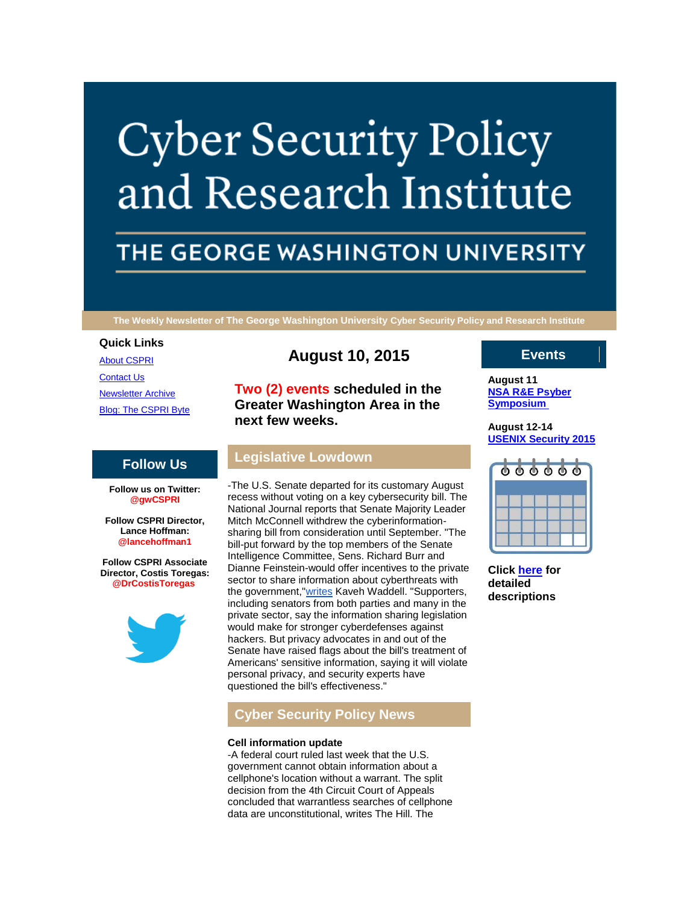# **Cyber Security Policy** and Research Institute

# THE GEORGE WASHINGTON UNIVERSITY

**The Weekly Newsletter of The George Washington University Cyber Security Policy and Research Institute**

#### **Quick Links**

[About CSPRI](http://r20.rs6.net/tn.jsp?f=00173OsM3GsFsV6-2rNm-KsH1Bg1P9fcYlUlbgr83-gugUhlDD-hmMq0YkYB2fWJxE8qvzFBFrxrBkjL5UZM4PSXbLfNTBwNyHL0lxrnjMz7zZA0Q9wPQuuqYSVe2s_luaK_9m4D9hXd5PVymH1z_RNZB8zL7j85lfdhC8uPk5FnNZnNgj5bs5884baxnRza2-D&c=co6PrLUNwb7-18kO7WSM-JuljRcHsx2l7c8CNrtYPZM8ryM8XeWdnA==&ch=k3Tk6Aj4-qX-FAHAXZptSm3OSAIfv27Wr4bTHW-VqkQ-roFa64iYeA==) [Contact Us](http://r20.rs6.net/tn.jsp?f=00173OsM3GsFsV6-2rNm-KsH1Bg1P9fcYlUlbgr83-gugUhlDD-hmMq0YkYB2fWJxE8h5PjM3VquWQNc8J_MckdG46ajH7GTPDjfcqopRwOIMPXt_D3Yo-Z-MoyFppha86mtOVaCZZ2qEritexmBGHZRDWKuULNFnI95lTCLWffOMk6g9xXDpYDKup-WgPJld3AAT0adRq0z9o=&c=co6PrLUNwb7-18kO7WSM-JuljRcHsx2l7c8CNrtYPZM8ryM8XeWdnA==&ch=k3Tk6Aj4-qX-FAHAXZptSm3OSAIfv27Wr4bTHW-VqkQ-roFa64iYeA==) [Newsletter Archive](http://r20.rs6.net/tn.jsp?f=00173OsM3GsFsV6-2rNm-KsH1Bg1P9fcYlUlbgr83-gugUhlDD-hmMq0YkYB2fWJxE8aADL4qv0l4Jda1c0DaSkrv6SF_k2vCSxfEyFDHX44BygHfcxWTEY_hz1OVefThhe_2qy5FIBkUjTSAuf3zbOG3hTL121tgAD73Uz_FEiZRrRUeeQ3m5Vp2gVQcyIlz4PtbVk4uRfR28=&c=co6PrLUNwb7-18kO7WSM-JuljRcHsx2l7c8CNrtYPZM8ryM8XeWdnA==&ch=k3Tk6Aj4-qX-FAHAXZptSm3OSAIfv27Wr4bTHW-VqkQ-roFa64iYeA==) [Blog: The CSPRI Byte](http://r20.rs6.net/tn.jsp?f=00173OsM3GsFsV6-2rNm-KsH1Bg1P9fcYlUlbgr83-gugUhlDD-hmMq0YkYB2fWJxE8Rwr5z8P63661tTVmPC-bQTsA3CnHISIlN02CLMjTyPs6EVwIPM0I8v8pAHTO99KAHRsPEULbUJVgNHV2Z-G-gWfhJQDuyz9sYn8dHQpJMb0MbYu8srRdCCDAvOQDm-I_&c=co6PrLUNwb7-18kO7WSM-JuljRcHsx2l7c8CNrtYPZM8ryM8XeWdnA==&ch=k3Tk6Aj4-qX-FAHAXZptSm3OSAIfv27Wr4bTHW-VqkQ-roFa64iYeA==)

# **August 10, 2015**

**Two (2) events scheduled in the Greater Washington Area in the next few weeks.**

## **Follow Us**

**Follow us on Twitter: @gwCSPRI**

**Follow CSPRI Director, Lance Hoffman: @lancehoffman1**

**Follow CSPRI Associate Director, Costis Toregas: @DrCostisToregas**



# **Legislative Lowdown**

-The U.S. Senate departed for its customary August recess without voting on a key cybersecurity bill. The National Journal reports that Senate Majority Leader Mitch McConnell withdrew the cyberinformationsharing bill from consideration until September. "The bill-put forward by the top members of the Senate Intelligence Committee, Sens. Richard Burr and Dianne Feinstein-would offer incentives to the private sector to share information about cyberthreats with the government,["writes](http://r20.rs6.net/tn.jsp?f=00173OsM3GsFsV6-2rNm-KsH1Bg1P9fcYlUlbgr83-gugUhlDD-hmMq0QTLKvyd7ig7_Kc8o5y7Yk3IJoLoQFQrG4HvxNUpO3r3MUQMK_qI9-rh8JzqKZaXRt4RYEeHEmBl7HfJvdS4x5dZ8cpIxvLuXb7f_LZ5TYjwbj1zMTlGcmnYj-mJI8QqT02omLnc4FB-xzTJlMyayPttpI9SZOAvl6Kh4KGBg3PHjTgNch6QXFpweJSGHsRfKmGn9mjO9mJJ&c=co6PrLUNwb7-18kO7WSM-JuljRcHsx2l7c8CNrtYPZM8ryM8XeWdnA==&ch=k3Tk6Aj4-qX-FAHAXZptSm3OSAIfv27Wr4bTHW-VqkQ-roFa64iYeA==) Kaveh Waddell. "Supporters, including senators from both parties and many in the private sector, say the information sharing legislation would make for stronger cyberdefenses against hackers. But privacy advocates in and out of the Senate have raised flags about the bill's treatment of Americans' sensitive information, saying it will violate personal privacy, and security experts have questioned the bill's effectiveness."

## **Cyber Security Policy News**

#### **Cell information update**

-A federal court ruled last week that the U.S. government cannot obtain information about a cellphone's location without a warrant. The split decision from the 4th Circuit Court of Appeals concluded that warrantless searches of cellphone data are unconstitutional, writes The Hill. The

## **Events**

**August 11 [NSA R&E Psyber](http://r20.rs6.net/tn.jsp?f=00173OsM3GsFsV6-2rNm-KsH1Bg1P9fcYlUlbgr83-gugUhlDD-hmMq0aTeCUkNF5WX3aGOl9r5qWDpNPBeTPkRBpifKGv_qWW9CtTdDYk_I3KNHXe7T9kEhX917LPStZ_FDHhkxnRgJp7b1T7Ih2vaAUpd-N3jNdDQzrQL7p19iwarjGPc1w5cD-6KF22QJebw7APNL6fOeQo=&c=co6PrLUNwb7-18kO7WSM-JuljRcHsx2l7c8CNrtYPZM8ryM8XeWdnA==&ch=k3Tk6Aj4-qX-FAHAXZptSm3OSAIfv27Wr4bTHW-VqkQ-roFa64iYeA==)  [Symposium](http://r20.rs6.net/tn.jsp?f=00173OsM3GsFsV6-2rNm-KsH1Bg1P9fcYlUlbgr83-gugUhlDD-hmMq0aTeCUkNF5WX3aGOl9r5qWDpNPBeTPkRBpifKGv_qWW9CtTdDYk_I3KNHXe7T9kEhX917LPStZ_FDHhkxnRgJp7b1T7Ih2vaAUpd-N3jNdDQzrQL7p19iwarjGPc1w5cD-6KF22QJebw7APNL6fOeQo=&c=co6PrLUNwb7-18kO7WSM-JuljRcHsx2l7c8CNrtYPZM8ryM8XeWdnA==&ch=k3Tk6Aj4-qX-FAHAXZptSm3OSAIfv27Wr4bTHW-VqkQ-roFa64iYeA==)**

**August 12-14 [USENIX Security 2015](http://r20.rs6.net/tn.jsp?f=00173OsM3GsFsV6-2rNm-KsH1Bg1P9fcYlUlbgr83-gugUhlDD-hmMq0aTeCUkNF5WX3aGOl9r5qWDpNPBeTPkRBpifKGv_qWW9CtTdDYk_I3KNHXe7T9kEhX917LPStZ_FDHhkxnRgJp7b1T7Ih2vaAUpd-N3jNdDQzrQL7p19iwarjGPc1w5cD-6KF22QJebw7APNL6fOeQo=&c=co6PrLUNwb7-18kO7WSM-JuljRcHsx2l7c8CNrtYPZM8ryM8XeWdnA==&ch=k3Tk6Aj4-qX-FAHAXZptSm3OSAIfv27Wr4bTHW-VqkQ-roFa64iYeA==)**



**Click [here](http://r20.rs6.net/tn.jsp?f=00173OsM3GsFsV6-2rNm-KsH1Bg1P9fcYlUlbgr83-gugUhlDD-hmMq0YkYB2fWJxE8yCHBDafgGDO19n7dXbpNQZzJfnpBq1aWW3MSzSa7ZJ6HlRJedmCy-c8l7t-RFe5YxLpRYqEhyn4pHBEE6FbIeeZDlcuZ1DNKAy4i0aU8X0oNuGbiGdDLI4aTmDgISRY-Lmqn8B6Xs0MpNU958fgecQ==&c=co6PrLUNwb7-18kO7WSM-JuljRcHsx2l7c8CNrtYPZM8ryM8XeWdnA==&ch=k3Tk6Aj4-qX-FAHAXZptSm3OSAIfv27Wr4bTHW-VqkQ-roFa64iYeA==) for detailed descriptions**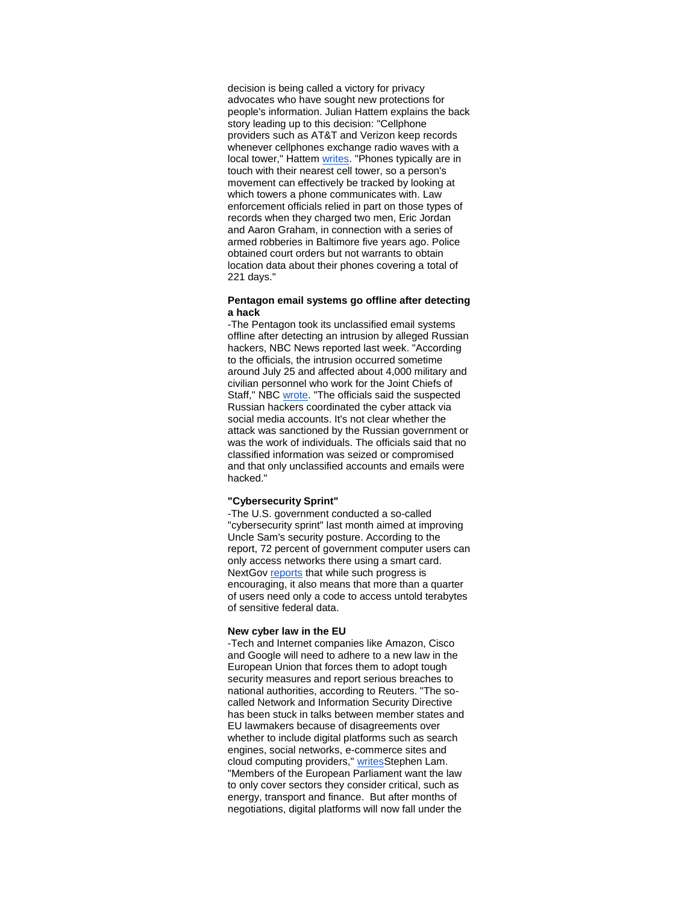decision is being called a victory for privacy advocates who have sought new protections for people's information. Julian Hattem explains the back story leading up to this decision: "Cellphone providers such as AT&T and Verizon keep records whenever cellphones exchange radio waves with a local tower," Hattem [writes.](http://r20.rs6.net/tn.jsp?f=00173OsM3GsFsV6-2rNm-KsH1Bg1P9fcYlUlbgr83-gugUhlDD-hmMq0QTLKvyd7ig7HnoT48XoD4_iUy2TDXGOO5VvFSrESknGplamSpN171gpk8G8tzyXyevXPNft41Fk-M7_DcUgSfWnlZfUnuWsV9fgUjaq58IBEdQOfY5cMWhvvI6U-OsNVGFQ0xTWRVwyIZcs_toHv3YkoRsAAEwixzuE0yGtiyNqgb3mWDSHW_57bCeMIf-llFmLa0aoxbDas5PlrHCii5EbGKDJejUiME-z2uOnEtpO&c=co6PrLUNwb7-18kO7WSM-JuljRcHsx2l7c8CNrtYPZM8ryM8XeWdnA==&ch=k3Tk6Aj4-qX-FAHAXZptSm3OSAIfv27Wr4bTHW-VqkQ-roFa64iYeA==) "Phones typically are in touch with their nearest cell tower, so a person's movement can effectively be tracked by looking at which towers a phone communicates with. Law enforcement officials relied in part on those types of records when they charged two men, Eric Jordan and Aaron Graham, in connection with a series of armed robberies in Baltimore five years ago. Police obtained court orders but not warrants to obtain location data about their phones covering a total of 221 days."

#### **Pentagon email systems go offline after detecting a hack**

-The Pentagon took its unclassified email systems offline after detecting an intrusion by alleged Russian hackers, NBC News reported last week. "According to the officials, the intrusion occurred sometime around July 25 and affected about 4,000 military and civilian personnel who work for the Joint Chiefs of Staff," NBC [wrote.](http://r20.rs6.net/tn.jsp?f=00173OsM3GsFsV6-2rNm-KsH1Bg1P9fcYlUlbgr83-gugUhlDD-hmMq0QTLKvyd7ig7znRfr6EfopVmanEfMTK7ZgkesysiYLNbm2OjuDjKe8zvwMV53XVdbhqalBI1kkJ-iRlPdUr0atTG97_0CM4OPPhooRI3Vwa5qxUfj9qvrGIIYyGRdufGLVAzFTqb3bLvqLpCQpMl5em8Mm_g0OJfmxGvB6W5EzxkmfW_AK3_Q7Ic_iXdTegdYplDfI7kGB8_vxYwvIev7CqQ4tRSAc7ElgI1m2XkVNIa&c=co6PrLUNwb7-18kO7WSM-JuljRcHsx2l7c8CNrtYPZM8ryM8XeWdnA==&ch=k3Tk6Aj4-qX-FAHAXZptSm3OSAIfv27Wr4bTHW-VqkQ-roFa64iYeA==) "The officials said the suspected Russian hackers coordinated the cyber attack via social media accounts. It's not clear whether the attack was sanctioned by the Russian government or was the work of individuals. The officials said that no classified information was seized or compromised and that only unclassified accounts and emails were hacked."

#### **"Cybersecurity Sprint"**

-The U.S. government conducted a so-called "cybersecurity sprint" last month aimed at improving Uncle Sam's security posture. According to the report, 72 percent of government computer users can only access networks there using a smart card. NextGov [reports](http://r20.rs6.net/tn.jsp?f=00173OsM3GsFsV6-2rNm-KsH1Bg1P9fcYlUlbgr83-gugUhlDD-hmMq0QTLKvyd7ig7vPbCmoFIIho-Er24m1vOXLYO-z_mzYOopxq3o8wszAridEnoW41mQxlZOWnzGJQJGYBTj-pfmQRvdbL2ez3XRuqO8PHj-A2nJjdWCQli45201FsDraUwmE_Ayz0DQ50v_0Mbam4y__6bjO7xMz38JK_yj_-noTTYi-xmqWQfnZqun5J85jRbvAKOJltrQL0tSMbFDtAZzaYTPOI21jMTp9D-1kcEoPsln4hXHq2nJCe9xJ8J8qshgD342GqGWr1a91d4BDBr0B8pVBDF5x8uQg8G6ldBXARLObGOCqyR9n8t3YxTx7hD1EWT0usmwlRsgAZMFYBmgDo=&c=co6PrLUNwb7-18kO7WSM-JuljRcHsx2l7c8CNrtYPZM8ryM8XeWdnA==&ch=k3Tk6Aj4-qX-FAHAXZptSm3OSAIfv27Wr4bTHW-VqkQ-roFa64iYeA==) that while such progress is encouraging, it also means that more than a quarter of users need only a code to access untold terabytes of sensitive federal data.

#### **New cyber law in the EU**

-Tech and Internet companies like Amazon, Cisco and Google will need to adhere to a new law in the European Union that forces them to adopt tough security measures and report serious breaches to national authorities, according to Reuters. "The socalled Network and Information Security Directive has been stuck in talks between member states and EU lawmakers because of disagreements over whether to include digital platforms such as search engines, social networks, e-commerce sites and cloud computing providers," [writesS](http://r20.rs6.net/tn.jsp?f=00173OsM3GsFsV6-2rNm-KsH1Bg1P9fcYlUlbgr83-gugUhlDD-hmMq0QTLKvyd7ig7jPHvkHBB_xj8aYru2L1TLQo41VY4d4fFRov8aMziygajOokBf8fRs5in7FSBQb1j3rKXFJP1HJbXHDrAXXFQ5i8QtumykCiFBjy44ODA32S3C41XWaCkEwz-dBmQkpVOr7xz7SGxhL2GCk5dYLxEzAno-C2XThpizs8MEdtlUkU8z5O9o0rb29olkopnz-sDqsv3IzSgJbI=&c=co6PrLUNwb7-18kO7WSM-JuljRcHsx2l7c8CNrtYPZM8ryM8XeWdnA==&ch=k3Tk6Aj4-qX-FAHAXZptSm3OSAIfv27Wr4bTHW-VqkQ-roFa64iYeA==)tephen Lam. "Members of the European Parliament want the law to only cover sectors they consider critical, such as energy, transport and finance. But after months of negotiations, digital platforms will now fall under the